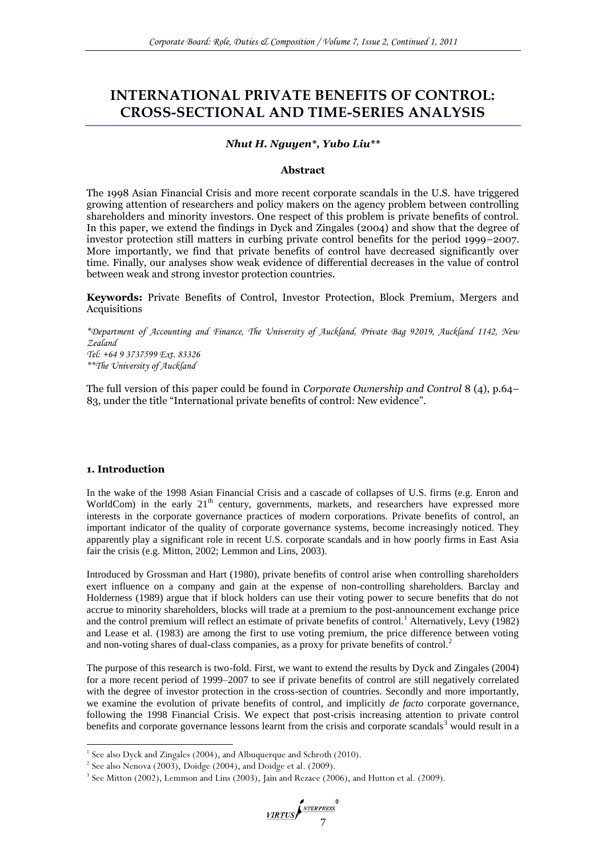# **INTERNATIONAL PRIVATE BENEFITS OF CONTROL: CROSS-SECTIONAL AND TIME-SERIES ANALYSIS**

## *Nhut H. Nguyen\*, Yubo Liu\*\**

#### **Abstract**

The 1998 Asian Financial Crisis and more recent corporate scandals in the U.S. have triggered growing attention of researchers and policy makers on the agency problem between controlling shareholders and minority investors. One respect of this problem is private benefits of control. In this paper, we extend the findings in Dyck and Zingales (2004) and show that the degree of investor protection still matters in curbing private control benefits for the period 1999–2007. More importantly, we find that private benefits of control have decreased significantly over time. Finally, our analyses show weak evidence of differential decreases in the value of control between weak and strong investor protection countries.

**Keywords:** Private Benefits of Control, Investor Protection, Block Premium, Mergers and Acquisitions

*\*Department of Accounting and Finance, The University of Auckland, Private Bag 92019, Auckland 1142, New Zealand Tel: +64 9 3737599 Ext. 83326 \*\*The University of Auckland*

The full version of this paper could be found in *Corporate Ownership and Control* 8 (4), p.64– 83, under the title "International private benefits of control: New evidence".

## **1. Introduction**

In the wake of the 1998 Asian Financial Crisis and a cascade of collapses of U.S. firms (e.g. Enron and WorldCom) in the early  $21<sup>th</sup>$  century, governments, markets, and researchers have expressed more interests in the corporate governance practices of modern corporations. Private benefits of control, an important indicator of the quality of corporate governance systems, become increasingly noticed. They apparently play a significant role in recent U.S. corporate scandals and in how poorly firms in East Asia fair the crisis (e.g. Mitton, 2002; Lemmon and Lins, 2003).

Introduced by Grossman and Hart (1980), private benefits of control arise when controlling shareholders exert influence on a company and gain at the expense of non-controlling shareholders. Barclay and Holderness (1989) argue that if block holders can use their voting power to secure benefits that do not accrue to minority shareholders, blocks will trade at a premium to the post-announcement exchange price and the control premium will reflect an estimate of private benefits of control.<sup>1</sup> Alternatively, Levy (1982) and Lease et al. (1983) are among the first to use voting premium, the price difference between voting and non-voting shares of dual-class companies, as a proxy for private benefits of control.<sup>2</sup>

The purpose of this research is two-fold. First, we want to extend the results by Dyck and Zingales (2004) for a more recent period of 1999–2007 to see if private benefits of control are still negatively correlated with the degree of investor protection in the cross-section of countries. Secondly and more importantly, we examine the evolution of private benefits of control, and implicitly *de facto* corporate governance, following the 1998 Financial Crisis. We expect that post-crisis increasing attention to private control benefits and corporate governance lessons learnt from the crisis and corporate scandals<sup>3</sup> would result in a

 1 See also Dyck and Zingales (2004), and Albuquerque and Schroth (2010).

 $2^{2}$  See also Nenova (2003), Doidge (2004), and Doidge et al. (2009).

<sup>&</sup>lt;sup>3</sup> See Mitton (2002), Lemmon and Lins (2003), Jain and Rezaee (2006), and Hutton et al. (2009).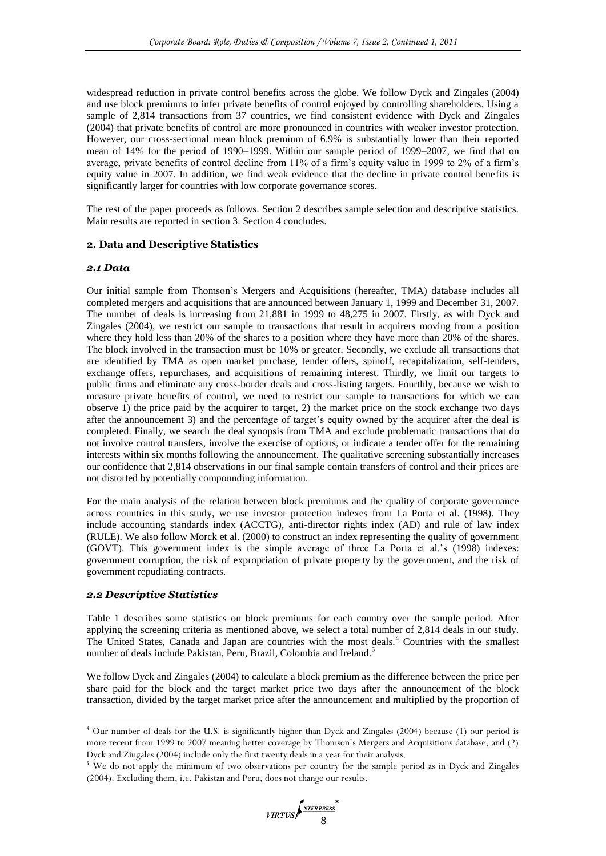widespread reduction in private control benefits across the globe. We follow Dyck and Zingales (2004) and use block premiums to infer private benefits of control enjoyed by controlling shareholders. Using a sample of 2,814 transactions from 37 countries, we find consistent evidence with Dyck and Zingales (2004) that private benefits of control are more pronounced in countries with weaker investor protection. However, our cross-sectional mean block premium of 6.9% is substantially lower than their reported mean of 14% for the period of 1990–1999. Within our sample period of 1999–2007, we find that on average, private benefits of control decline from 11% of a firm's equity value in 1999 to 2% of a firm's equity value in 2007. In addition, we find weak evidence that the decline in private control benefits is significantly larger for countries with low corporate governance scores.

The rest of the paper proceeds as follows. Section 2 describes sample selection and descriptive statistics. Main results are reported in section 3. Section 4 concludes.

## **2. Data and Descriptive Statistics**

#### *2.1 Data*

Our initial sample from Thomson's Mergers and Acquisitions (hereafter, TMA) database includes all completed mergers and acquisitions that are announced between January 1, 1999 and December 31, 2007. The number of deals is increasing from 21,881 in 1999 to 48,275 in 2007. Firstly, as with Dyck and Zingales (2004), we restrict our sample to transactions that result in acquirers moving from a position where they hold less than 20% of the shares to a position where they have more than 20% of the shares. The block involved in the transaction must be 10% or greater. Secondly, we exclude all transactions that are identified by TMA as open market purchase, tender offers, spinoff, recapitalization, self-tenders, exchange offers, repurchases, and acquisitions of remaining interest. Thirdly, we limit our targets to public firms and eliminate any cross-border deals and cross-listing targets. Fourthly, because we wish to measure private benefits of control, we need to restrict our sample to transactions for which we can observe 1) the price paid by the acquirer to target, 2) the market price on the stock exchange two days after the announcement 3) and the percentage of target's equity owned by the acquirer after the deal is completed. Finally, we search the deal synopsis from TMA and exclude problematic transactions that do not involve control transfers, involve the exercise of options, or indicate a tender offer for the remaining interests within six months following the announcement. The qualitative screening substantially increases our confidence that 2,814 observations in our final sample contain transfers of control and their prices are not distorted by potentially compounding information.

For the main analysis of the relation between block premiums and the quality of corporate governance across countries in this study, we use investor protection indexes from La Porta et al. (1998). They include accounting standards index (ACCTG), anti-director rights index (AD) and rule of law index (RULE). We also follow Morck et al. (2000) to construct an index representing the quality of government (GOVT). This government index is the simple average of three La Porta et al.'s (1998) indexes: government corruption, the risk of expropriation of private property by the government, and the risk of government repudiating contracts.

## *2.2 Descriptive Statistics*

 $\overline{a}$ 

Table 1 describes some statistics on block premiums for each country over the sample period. After applying the screening criteria as mentioned above, we select a total number of 2,814 deals in our study. The United States, Canada and Japan are countries with the most deals.<sup>4</sup> Countries with the smallest number of deals include Pakistan, Peru, Brazil, Colombia and Ireland.<sup>5</sup>

We follow Dyck and Zingales (2004) to calculate a block premium as the difference between the price per share paid for the block and the target market price two days after the announcement of the block transaction, divided by the target market price after the announcement and multiplied by the proportion of

<sup>4</sup> Our number of deals for the U.S. is significantly higher than Dyck and Zingales (2004) because (1) our period is more recent from 1999 to 2007 meaning better coverage by Thomson's Mergers and Acquisitions database, and (2) Dyck and Zingales (2004) include only the first twenty deals in a year for their analysis.

<sup>&</sup>lt;sup>5</sup> We do not apply the minimum of two observations per country for the sample period as in Dyck and Zingales (2004). Excluding them, i.e. Pakistan and Peru, does not change our results.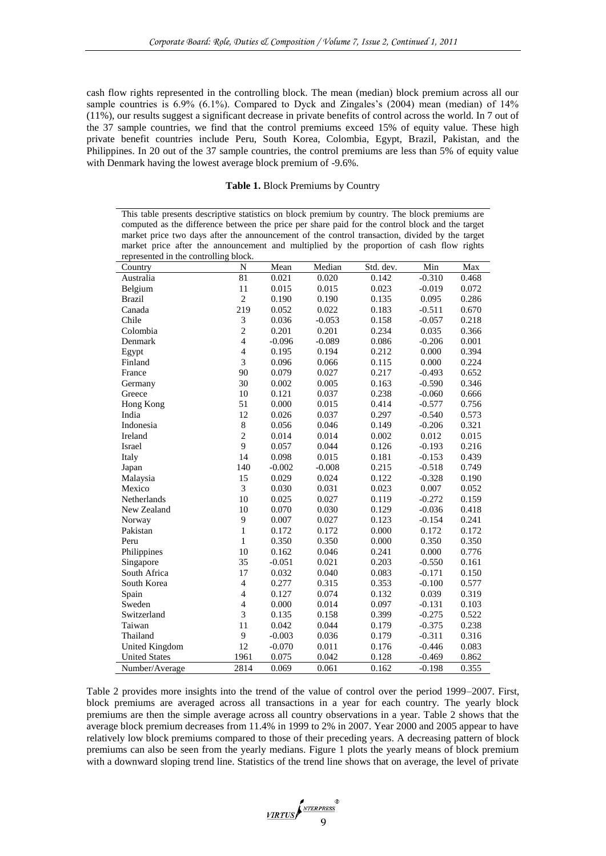cash flow rights represented in the controlling block. The mean (median) block premium across all our sample countries is 6.9% (6.1%). Compared to Dyck and Zingales's (2004) mean (median) of 14% (11%), our results suggest a significant decrease in private benefits of control across the world. In 7 out of the 37 sample countries, we find that the control premiums exceed 15% of equity value. These high private benefit countries include Peru, South Korea, Colombia, Egypt, Brazil, Pakistan, and the Philippines. In 20 out of the 37 sample countries, the control premiums are less than 5% of equity value with Denmark having the lowest average block premium of -9.6%.

**Table 1.** Block Premiums by Country

This table presents descriptive statistics on block premium by country. The block premiums are computed as the difference between the price per share paid for the control block and the target market price two days after the announcement of the control transaction, divided by the target market price after the announcement and multiplied by the proportion of cash flow rights represented in the controlling block.

| Country               | N              | Mean     | Median   | Std. dev. | Min      | Max   |
|-----------------------|----------------|----------|----------|-----------|----------|-------|
| Australia             | 81             | 0.021    | 0.020    | 0.142     | $-0.310$ | 0.468 |
| Belgium               | 11             | 0.015    | 0.015    | 0.023     | $-0.019$ | 0.072 |
| <b>Brazil</b>         | $\overline{c}$ | 0.190    | 0.190    | 0.135     | 0.095    | 0.286 |
| Canada                | 219            | 0.052    | 0.022    | 0.183     | $-0.511$ | 0.670 |
| Chile                 | $\mathfrak{Z}$ | 0.036    | $-0.053$ | 0.158     | $-0.057$ | 0.218 |
| Colombia              | $\overline{c}$ | 0.201    | 0.201    | 0.234     | 0.035    | 0.366 |
| Denmark               | $\overline{4}$ | $-0.096$ | $-0.089$ | 0.086     | $-0.206$ | 0.001 |
| Egypt                 | $\overline{4}$ | 0.195    | 0.194    | 0.212     | 0.000    | 0.394 |
| Finland               | 3              | 0.096    | 0.066    | 0.115     | 0.000    | 0.224 |
| France                | 90             | 0.079    | 0.027    | 0.217     | $-0.493$ | 0.652 |
| Germany               | 30             | 0.002    | 0.005    | 0.163     | $-0.590$ | 0.346 |
| Greece                | 10             | 0.121    | 0.037    | 0.238     | $-0.060$ | 0.666 |
| Hong Kong             | 51             | 0.000    | 0.015    | 0.414     | $-0.577$ | 0.756 |
| India                 | 12             | 0.026    | 0.037    | 0.297     | $-0.540$ | 0.573 |
| Indonesia             | 8              | 0.056    | 0.046    | 0.149     | $-0.206$ | 0.321 |
| Ireland               | $\overline{c}$ | 0.014    | 0.014    | 0.002     | 0.012    | 0.015 |
| Israel                | 9              | 0.057    | 0.044    | 0.126     | $-0.193$ | 0.216 |
| Italy                 | 14             | 0.098    | 0.015    | 0.181     | $-0.153$ | 0.439 |
| Japan                 | 140            | $-0.002$ | $-0.008$ | 0.215     | $-0.518$ | 0.749 |
| Malaysia              | 15             | 0.029    | 0.024    | 0.122     | $-0.328$ | 0.190 |
| Mexico                | 3              | 0.030    | 0.031    | 0.023     | 0.007    | 0.052 |
| Netherlands           | 10             | 0.025    | 0.027    | 0.119     | $-0.272$ | 0.159 |
| New Zealand           | 10             | 0.070    | 0.030    | 0.129     | $-0.036$ | 0.418 |
| Norway                | $\mathbf{9}$   | 0.007    | 0.027    | 0.123     | $-0.154$ | 0.241 |
| Pakistan              | $\mathbf{1}$   | 0.172    | 0.172    | 0.000     | 0.172    | 0.172 |
| Peru                  | $\mathbf{1}$   | 0.350    | 0.350    | 0.000     | 0.350    | 0.350 |
| Philippines           | 10             | 0.162    | 0.046    | 0.241     | 0.000    | 0.776 |
| Singapore             | 35             | $-0.051$ | 0.021    | 0.203     | $-0.550$ | 0.161 |
| South Africa          | 17             | 0.032    | 0.040    | 0.083     | $-0.171$ | 0.150 |
| South Korea           | $\overline{4}$ | 0.277    | 0.315    | 0.353     | $-0.100$ | 0.577 |
| Spain                 | $\overline{4}$ | 0.127    | 0.074    | 0.132     | 0.039    | 0.319 |
| Sweden                | $\overline{4}$ | 0.000    | 0.014    | 0.097     | $-0.131$ | 0.103 |
| Switzerland           | 3              | 0.135    | 0.158    | 0.399     | $-0.275$ | 0.522 |
| Taiwan                | 11             | 0.042    | 0.044    | 0.179     | $-0.375$ | 0.238 |
| Thailand              | 9              | $-0.003$ | 0.036    | 0.179     | $-0.311$ | 0.316 |
| <b>United Kingdom</b> | 12             | $-0.070$ | 0.011    | 0.176     | $-0.446$ | 0.083 |
| <b>United States</b>  | 1961           | 0.075    | 0.042    | 0.128     | $-0.469$ | 0.862 |
| Number/Average        | 2814           | 0.069    | 0.061    | 0.162     | $-0.198$ | 0.355 |

Table 2 provides more insights into the trend of the value of control over the period 1999–2007. First, block premiums are averaged across all transactions in a year for each country. The yearly block premiums are then the simple average across all country observations in a year. Table 2 shows that the average block premium decreases from 11.4% in 1999 to 2% in 2007. Year 2000 and 2005 appear to have relatively low block premiums compared to those of their preceding years. A decreasing pattern of block premiums can also be seen from the yearly medians. Figure 1 plots the yearly means of block premium with a downward sloping trend line. Statistics of the trend line shows that on average, the level of private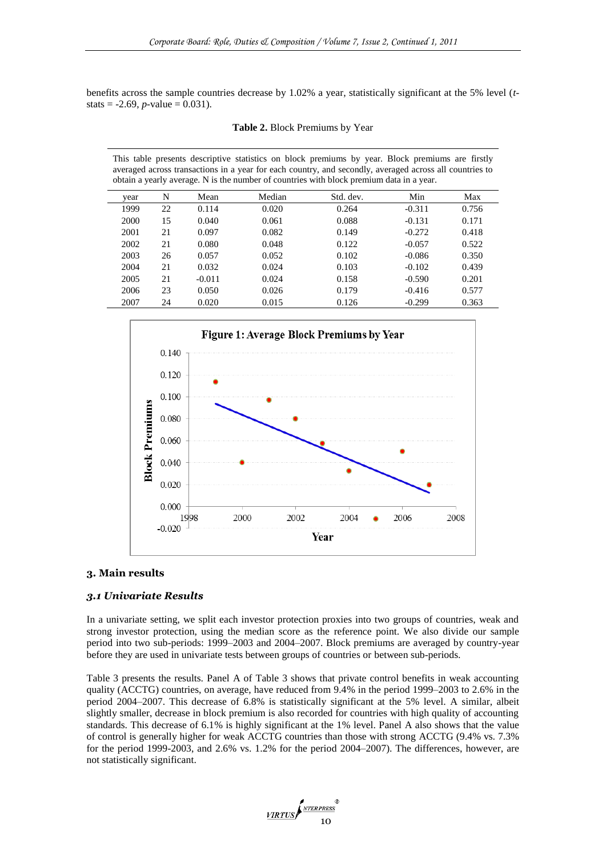benefits across the sample countries decrease by 1.02% a year, statistically significant at the 5% level (*t*stats = -2.69, *p*-value = 0.031).

|  |  | Table 2. Block Premiums by Year |  |  |
|--|--|---------------------------------|--|--|
|--|--|---------------------------------|--|--|

This table presents descriptive statistics on block premiums by year. Block premiums are firstly averaged across transactions in a year for each country, and secondly, averaged across all countries to obtain a yearly average. N is the number of countries with block premium data in a year.

| vear | N  | Mean     | Median | Std. dev. | Min      | Max   |
|------|----|----------|--------|-----------|----------|-------|
| 1999 | 22 | 0.114    | 0.020  | 0.264     | $-0.311$ | 0.756 |
| 2000 | 15 | 0.040    | 0.061  | 0.088     | $-0.131$ | 0.171 |
| 2001 | 21 | 0.097    | 0.082  | 0.149     | $-0.272$ | 0.418 |
| 2002 | 21 | 0.080    | 0.048  | 0.122     | $-0.057$ | 0.522 |
| 2003 | 26 | 0.057    | 0.052  | 0.102     | $-0.086$ | 0.350 |
| 2004 | 21 | 0.032    | 0.024  | 0.103     | $-0.102$ | 0.439 |
| 2005 | 21 | $-0.011$ | 0.024  | 0.158     | $-0.590$ | 0.201 |
| 2006 | 23 | 0.050    | 0.026  | 0.179     | $-0.416$ | 0.577 |
| 2007 | 24 | 0.020    | 0.015  | 0.126     | $-0.299$ | 0.363 |
|      |    |          |        |           |          |       |



#### **3. Main results**

# *3.1 Univariate Results*

In a univariate setting, we split each investor protection proxies into two groups of countries, weak and strong investor protection, using the median score as the reference point. We also divide our sample period into two sub-periods: 1999–2003 and 2004–2007. Block premiums are averaged by country-year before they are used in univariate tests between groups of countries or between sub-periods.

Table 3 presents the results. Panel A of Table 3 shows that private control benefits in weak accounting quality (ACCTG) countries, on average, have reduced from 9.4% in the period 1999–2003 to 2.6% in the period 2004–2007. This decrease of 6.8% is statistically significant at the 5% level. A similar, albeit slightly smaller, decrease in block premium is also recorded for countries with high quality of accounting standards. This decrease of 6.1% is highly significant at the 1% level. Panel A also shows that the value of control is generally higher for weak ACCTG countries than those with strong ACCTG (9.4% vs. 7.3% for the period 1999-2003, and 2.6% vs. 1.2% for the period 2004–2007). The differences, however, are not statistically significant.

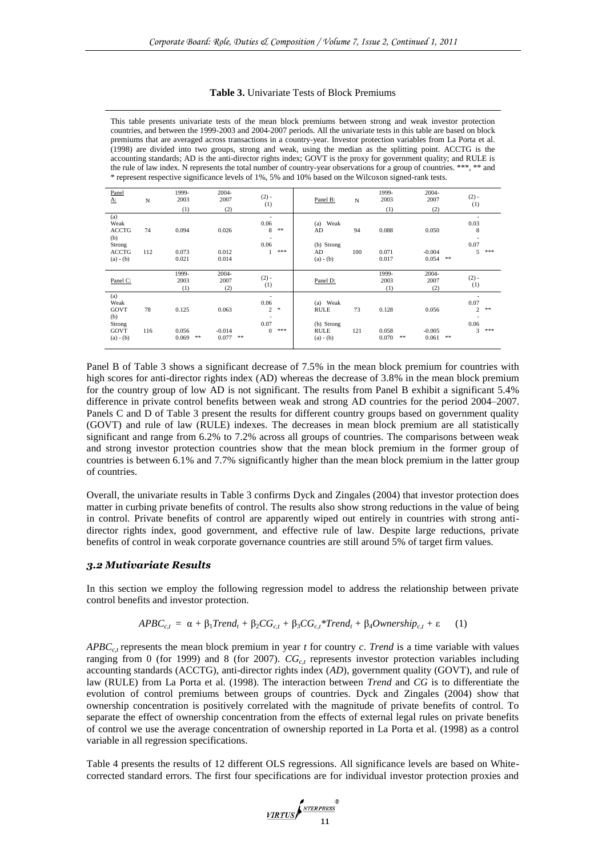| <b>Table 3.</b> Univariate Tests of Block Premiums |  |  |
|----------------------------------------------------|--|--|
|----------------------------------------------------|--|--|

This table presents univariate tests of the mean block premiums between strong and weak investor protection countries, and between the 1999-2003 and 2004-2007 periods. All the univariate tests in this table are based on block premiums that are averaged across transactions in a country-year. Investor protection variables from La Porta et al. (1998) are divided into two groups, strong and weak, using the median as the splitting point. ACCTG is the accounting standards; AD is the anti-director rights index; GOVT is the proxy for government quality; and RULE is the rule of law index. N represents the total number of country-year observations for a group of countries. \*\*\*, \*\* and \* represent respective significance levels of 1%, 5% and 10% based on the Wilcoxon signed-rank tests.

| Panel<br><u>Α:</u>                                                          | N         | 1999-<br>2003<br>(1)    | 2004-<br>2007<br>(2)       | $(2) -$<br>(1)                                                         | Panel B:                                             | N         | 1999-<br>2003<br>(1)    | $2004 -$<br>2007<br>(2)                  | $(2) -$<br>(1)                                          |     |
|-----------------------------------------------------------------------------|-----------|-------------------------|----------------------------|------------------------------------------------------------------------|------------------------------------------------------|-----------|-------------------------|------------------------------------------|---------------------------------------------------------|-----|
| (a)<br>Weak<br><b>ACCTG</b><br>(b)<br>Strong<br><b>ACCTG</b><br>$(a) - (b)$ | 74<br>112 | 0.094<br>0.073<br>0.021 | 0.026<br>0.012<br>0.014    | $\sim$<br>0.06<br>8<br>**<br>٠<br>0.06<br>***                          | Weak<br>(a)<br>AD<br>(b) Strong<br>AD<br>$(a) - (b)$ | 94<br>100 | 0.088<br>0.071<br>0.017 | 0.050<br>$-0.004$<br>0.054<br>$\ast\ast$ | 0.03<br>8<br>$\overline{\phantom{a}}$<br>0.07<br>5      | *** |
| Panel C:                                                                    |           | 1999-<br>2003<br>(1)    | $2004 -$<br>2007<br>(2)    | $(2) -$<br>(1)                                                         | Panel D:                                             |           | 1999-<br>2003<br>(1)    | $2004 -$<br>2007<br>(2)                  | $(2) -$<br>(1)                                          |     |
| (a)<br>Weak<br>GOVT<br>(b)                                                  | 78        | 0.125                   | 0.063                      | $\overline{\phantom{a}}$<br>0.06<br>2<br>*<br>$\overline{\phantom{a}}$ | (a) Weak<br><b>RULE</b>                              | 73        | 0.128                   | 0.056                                    | $\overline{\phantom{a}}$<br>0.07<br>$\overline{c}$<br>٠ | **  |
| Strong<br>GOVT<br>$(a) - (b)$                                               | 116       | 0.056<br>$* *$<br>0.069 | $-0.014$<br>0.077<br>$* *$ | 0.07<br>***<br>$\Omega$                                                | (b) Strong<br><b>RULE</b><br>$(a) - (b)$             | 121       | 0.058<br>0.070<br>**    | $-0.005$<br>0.061<br>$**$                | 0.06<br>3                                               | *** |

Panel B of Table 3 shows a significant decrease of 7.5% in the mean block premium for countries with high scores for anti-director rights index (AD) whereas the decrease of 3.8% in the mean block premium for the country group of low AD is not significant. The results from Panel B exhibit a significant 5.4% difference in private control benefits between weak and strong AD countries for the period 2004–2007. Panels C and D of Table 3 present the results for different country groups based on government quality (GOVT) and rule of law (RULE) indexes. The decreases in mean block premium are all statistically significant and range from 6.2% to 7.2% across all groups of countries. The comparisons between weak and strong investor protection countries show that the mean block premium in the former group of countries is between 6.1% and 7.7% significantly higher than the mean block premium in the latter group of countries.

Overall, the univariate results in Table 3 confirms Dyck and Zingales (2004) that investor protection does matter in curbing private benefits of control. The results also show strong reductions in the value of being in control. Private benefits of control are apparently wiped out entirely in countries with strong antidirector rights index, good government, and effective rule of law. Despite large reductions, private benefits of control in weak corporate governance countries are still around 5% of target firm values.

#### *3.2 Mutivariate Results*

In this section we employ the following regression model to address the relationship between private control benefits and investor protection.

$$
APBC_{c,t} = \alpha + \beta_1 Trend_t + \beta_2 CG_{c,t} + \beta_3 CG_{c,t} * Trend_t + \beta_4 Ownership_{c,t} + \varepsilon \qquad (1)
$$

 $APBC_{c,t}$  represents the mean block premium in year *t* for country *c*. *Trend* is a time variable with values ranging from 0 (for 1999) and 8 (for 2007). *CGc,t* represents investor protection variables including accounting standards (ACCTG), anti-director rights index (*AD*), government quality (GOVT), and rule of law (RULE) from La Porta et al. (1998). The interaction between *Trend* and *CG* is to differentiate the evolution of control premiums between groups of countries. Dyck and Zingales (2004) show that ownership concentration is positively correlated with the magnitude of private benefits of control. To separate the effect of ownership concentration from the effects of external legal rules on private benefits of control we use the average concentration of ownership reported in La Porta et al. (1998) as a control variable in all regression specifications.

Table 4 presents the results of 12 different OLS regressions. All significance levels are based on Whitecorrected standard errors. The first four specifications are for individual investor protection proxies and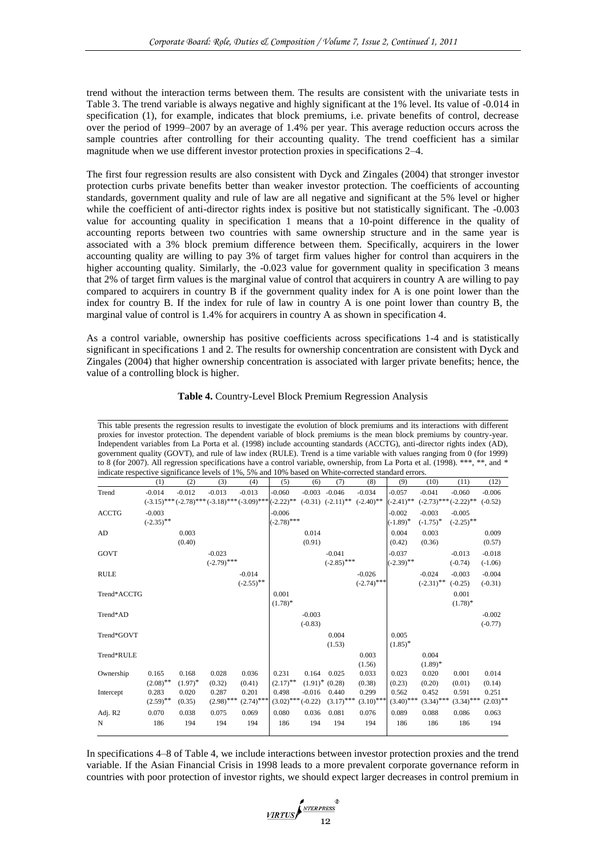trend without the interaction terms between them. The results are consistent with the univariate tests in Table 3. The trend variable is always negative and highly significant at the 1% level. Its value of -0.014 in specification (1), for example, indicates that block premiums, i.e. private benefits of control, decrease over the period of 1999–2007 by an average of 1.4% per year. This average reduction occurs across the sample countries after controlling for their accounting quality. The trend coefficient has a similar magnitude when we use different investor protection proxies in specifications 2–4.

The first four regression results are also consistent with Dyck and Zingales (2004) that stronger investor protection curbs private benefits better than weaker investor protection. The coefficients of accounting standards, government quality and rule of law are all negative and significant at the 5% level or higher while the coefficient of anti-director rights index is positive but not statistically significant. The -0.003 value for accounting quality in specification 1 means that a 10-point difference in the quality of accounting reports between two countries with same ownership structure and in the same year is associated with a 3% block premium difference between them. Specifically, acquirers in the lower accounting quality are willing to pay 3% of target firm values higher for control than acquirers in the higher accounting quality. Similarly, the -0.023 value for government quality in specification 3 means that 2% of target firm values is the marginal value of control that acquirers in country A are willing to pay compared to acquirers in country B if the government quality index for A is one point lower than the index for country B. If the index for rule of law in country A is one point lower than country B, the marginal value of control is 1.4% for acquirers in country A as shown in specification 4.

As a control variable, ownership has positive coefficients across specifications 1-4 and is statistically significant in specifications 1 and 2. The results for ownership concentration are consistent with Dyck and Zingales (2004) that higher ownership concentration is associated with larger private benefits; hence, the value of a controlling block is higher.

| This table presents the regression results to investigate the evolution of block premiums and its interactions with different  |                                                                                                     |            |                                                                                                          |              |                      |           |                     |               |              |                            |              |             |
|--------------------------------------------------------------------------------------------------------------------------------|-----------------------------------------------------------------------------------------------------|------------|----------------------------------------------------------------------------------------------------------|--------------|----------------------|-----------|---------------------|---------------|--------------|----------------------------|--------------|-------------|
| proxies for investor protection. The dependent variable of block premiums is the mean block premiums by country-year.          |                                                                                                     |            |                                                                                                          |              |                      |           |                     |               |              |                            |              |             |
| Independent variables from La Porta et al. (1998) include accounting standards (ACCTG), anti-director rights index (AD),       |                                                                                                     |            |                                                                                                          |              |                      |           |                     |               |              |                            |              |             |
| government quality (GOVT), and rule of law index (RULE). Trend is a time variable with values ranging from 0 (for 1999)        |                                                                                                     |            |                                                                                                          |              |                      |           |                     |               |              |                            |              |             |
| to 8 (for 2007). All regression specifications have a control variable, ownership, from La Porta et al. (1998). ***, **, and * |                                                                                                     |            |                                                                                                          |              |                      |           |                     |               |              |                            |              |             |
|                                                                                                                                | indicate respective significance levels of 1%, 5% and 10% based on White-corrected standard errors. |            |                                                                                                          |              |                      |           |                     |               |              |                            |              |             |
|                                                                                                                                | (1)                                                                                                 | (2)        | (3)                                                                                                      | (4)          | (5)                  | (6)       | (7)                 | (8)           | (9)          | (10)                       | (11)         | (12)        |
| Trend                                                                                                                          | $-0.014$                                                                                            | $-0.012$   | $-0.013$                                                                                                 | $-0.013$     | $-0.060$             |           | $-0.003 - 0.046$    | $-0.034$      | $-0.057$     | $-0.041$                   | $-0.060$     | $-0.006$    |
|                                                                                                                                |                                                                                                     |            | $(-3.15)$ *** $(-2.78)$ *** $(-3.18)$ *** $(-3.09)$ *** $(-2.22)$ ** $(-0.31)$ $(-2.11)$ ** $(-2.40)$ ** |              |                      |           |                     |               | $(-2.41)$ ** | $(-2.73)$ *** $(-2.22)$ ** |              | $(-0.52)$   |
| <b>ACCTG</b>                                                                                                                   | $-0.003$                                                                                            |            |                                                                                                          |              | $-0.006$             |           |                     |               | $-0.002$     | $-0.003$                   | $-0.005$     |             |
|                                                                                                                                | $(-2.35)$ **                                                                                        |            |                                                                                                          |              | $(-2.78)$ ***        |           |                     |               | $(-1.89)^*$  | $(-1.75)^*$                | $(-2.25)$ ** |             |
| AD                                                                                                                             |                                                                                                     | 0.003      |                                                                                                          |              |                      | 0.014     |                     |               | 0.004        | 0.003                      |              | 0.009       |
|                                                                                                                                |                                                                                                     | (0.40)     |                                                                                                          |              |                      | (0.91)    |                     |               | (0.42)       | (0.36)                     |              | (0.57)      |
| <b>GOVT</b>                                                                                                                    |                                                                                                     |            | $-0.023$                                                                                                 |              |                      |           | $-0.041$            |               | $-0.037$     |                            | $-0.013$     | $-0.018$    |
|                                                                                                                                |                                                                                                     |            | $(-2.79)$ ***                                                                                            |              |                      |           | $(-2.85)$ ***       |               | $(-2.39)$ ** |                            | $(-0.74)$    | $(-1.06)$   |
| <b>RULE</b>                                                                                                                    |                                                                                                     |            |                                                                                                          | $-0.014$     |                      |           |                     | $-0.026$      |              | $-0.024$                   | $-0.003$     | $-0.004$    |
|                                                                                                                                |                                                                                                     |            |                                                                                                          | $(-2.55)$ ** |                      |           |                     | $(-2.74)$ *** |              | $(-2.31)$ **               | $(-0.25)$    | $(-0.31)$   |
| Trend*ACCTG                                                                                                                    |                                                                                                     |            |                                                                                                          |              | 0.001                |           |                     |               |              |                            | 0.001        |             |
|                                                                                                                                |                                                                                                     |            |                                                                                                          |              | $(1.78)^*$           |           |                     |               |              |                            | $(1.78)$ *   |             |
| Trend*AD                                                                                                                       |                                                                                                     |            |                                                                                                          |              |                      | $-0.003$  |                     |               |              |                            |              | $-0.002$    |
|                                                                                                                                |                                                                                                     |            |                                                                                                          |              |                      | $(-0.83)$ |                     |               |              |                            |              | $(-0.77)$   |
| Trend*GOVT                                                                                                                     |                                                                                                     |            |                                                                                                          |              |                      |           | 0.004               |               | 0.005        |                            |              |             |
|                                                                                                                                |                                                                                                     |            |                                                                                                          |              |                      |           | (1.53)              |               | $(1.85)^*$   |                            |              |             |
| Trend*RULE                                                                                                                     |                                                                                                     |            |                                                                                                          |              |                      |           |                     | 0.003         |              | 0.004                      |              |             |
|                                                                                                                                |                                                                                                     |            |                                                                                                          |              |                      |           |                     | (1.56)        |              | $(1.89)^*$                 |              |             |
| Ownership                                                                                                                      | 0.165                                                                                               | 0.168      | 0.028                                                                                                    | 0.036        | 0.231                | 0.164     | 0.025               | 0.033         | 0.023        | 0.020                      | 0.001        | 0.014       |
|                                                                                                                                | $(2.08)$ **                                                                                         | $(1.97)^*$ | (0.32)                                                                                                   | (0.41)       | $(2.17)$ **          |           | $(1.91)^*$ $(0.28)$ | (0.38)        | (0.23)       | (0.20)                     | (0.01)       | (0.14)      |
| Intercept                                                                                                                      | 0.283                                                                                               | 0.020      | 0.287                                                                                                    | 0.201        | 0.498                | $-0.016$  | 0.440               | 0.299         | 0.562        | 0.452                      | 0.591        | 0.251       |
|                                                                                                                                | $(2.59)$ **                                                                                         | (0.35)     | $(2.98)$ ***                                                                                             | $(2.74)$ *** | $(3.02)$ *** (-0.22) |           | $(3.17)$ ***        | $(3.10)$ ***  | $(3.40)$ *** | $(3.34)$ ***               | $(3.34)$ *** | $(2.03)$ ** |
| Adj. R2                                                                                                                        | 0.070                                                                                               | 0.038      | 0.075                                                                                                    | 0.069        | 0.080                | 0.036     | 0.081               | 0.076         | 0.089        | 0.088                      | 0.086        | 0.063       |
| N                                                                                                                              | 186                                                                                                 | 194        | 194                                                                                                      | 194          | 186                  | 194       | 194                 | 194           | 186          | 186                        | 186          | 194         |
|                                                                                                                                |                                                                                                     |            |                                                                                                          |              |                      |           |                     |               |              |                            |              |             |

# **Table 4.** Country-Level Block Premium Regression Analysis

In specifications 4–8 of Table 4, we include interactions between investor protection proxies and the trend variable. If the Asian Financial Crisis in 1998 leads to a more prevalent corporate governance reform in countries with poor protection of investor rights, we should expect larger decreases in control premium in

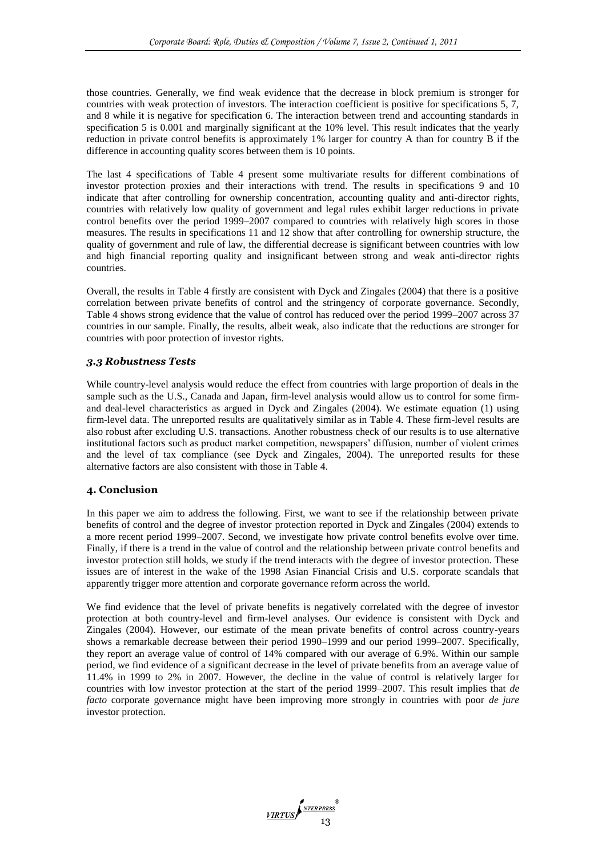those countries. Generally, we find weak evidence that the decrease in block premium is stronger for countries with weak protection of investors. The interaction coefficient is positive for specifications 5, 7, and 8 while it is negative for specification 6. The interaction between trend and accounting standards in specification 5 is 0.001 and marginally significant at the 10% level. This result indicates that the yearly reduction in private control benefits is approximately 1% larger for country A than for country B if the difference in accounting quality scores between them is 10 points.

The last 4 specifications of Table 4 present some multivariate results for different combinations of investor protection proxies and their interactions with trend. The results in specifications 9 and 10 indicate that after controlling for ownership concentration, accounting quality and anti-director rights, countries with relatively low quality of government and legal rules exhibit larger reductions in private control benefits over the period 1999–2007 compared to countries with relatively high scores in those measures. The results in specifications 11 and 12 show that after controlling for ownership structure, the quality of government and rule of law, the differential decrease is significant between countries with low and high financial reporting quality and insignificant between strong and weak anti-director rights countries.

Overall, the results in Table 4 firstly are consistent with Dyck and Zingales (2004) that there is a positive correlation between private benefits of control and the stringency of corporate governance. Secondly, Table 4 shows strong evidence that the value of control has reduced over the period 1999–2007 across 37 countries in our sample. Finally, the results, albeit weak, also indicate that the reductions are stronger for countries with poor protection of investor rights.

# *3.3 Robustness Tests*

While country-level analysis would reduce the effect from countries with large proportion of deals in the sample such as the U.S., Canada and Japan, firm-level analysis would allow us to control for some firmand deal-level characteristics as argued in Dyck and Zingales (2004). We estimate equation (1) using firm-level data. The unreported results are qualitatively similar as in Table 4. These firm-level results are also robust after excluding U.S. transactions. Another robustness check of our results is to use alternative institutional factors such as product market competition, newspapers' diffusion, number of violent crimes and the level of tax compliance (see Dyck and Zingales, 2004). The unreported results for these alternative factors are also consistent with those in Table 4.

# **4. Conclusion**

In this paper we aim to address the following. First, we want to see if the relationship between private benefits of control and the degree of investor protection reported in Dyck and Zingales (2004) extends to a more recent period 1999–2007. Second, we investigate how private control benefits evolve over time. Finally, if there is a trend in the value of control and the relationship between private control benefits and investor protection still holds, we study if the trend interacts with the degree of investor protection. These issues are of interest in the wake of the 1998 Asian Financial Crisis and U.S. corporate scandals that apparently trigger more attention and corporate governance reform across the world.

We find evidence that the level of private benefits is negatively correlated with the degree of investor protection at both country-level and firm-level analyses. Our evidence is consistent with Dyck and Zingales (2004). However, our estimate of the mean private benefits of control across country-years shows a remarkable decrease between their period 1990–1999 and our period 1999–2007. Specifically, they report an average value of control of 14% compared with our average of 6.9%. Within our sample period, we find evidence of a significant decrease in the level of private benefits from an average value of 11.4% in 1999 to 2% in 2007. However, the decline in the value of control is relatively larger for countries with low investor protection at the start of the period 1999–2007. This result implies that *de facto* corporate governance might have been improving more strongly in countries with poor *de jure* investor protection.